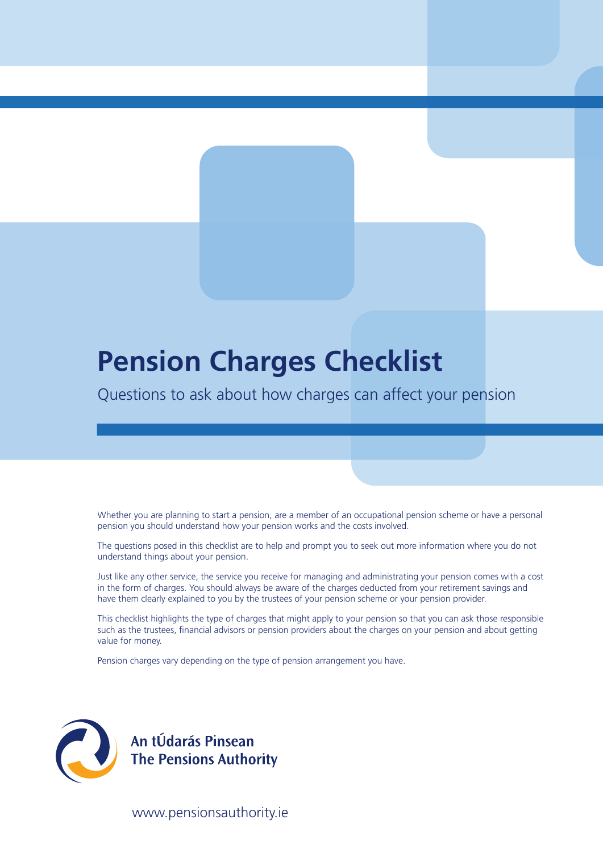# **Pension Charges Checklist**

Questions to ask about how charges can affect your pension

Whether you are planning to start a pension, are a member of an occupational pension scheme or have a personal pension you should understand how your pension works and the costs involved.

The questions posed in this checklist are to help and prompt you to seek out more information where you do not understand things about your pension.

Just like any other service, the service you receive for managing and administrating your pension comes with a cost in the form of charges. You should always be aware of the charges deducted from your retirement savings and have them clearly explained to you by the trustees of your pension scheme or your pension provider.

This checklist highlights the type of charges that might apply to your pension so that you can ask those responsible such as the trustees, financial advisors or pension providers about the charges on your pension and about getting value for money.

Pension charges vary depending on the type of pension arrangement you have.



An tÚdarás Pinsean<br>The Pensions Authority

www.pensionsauthority.ie